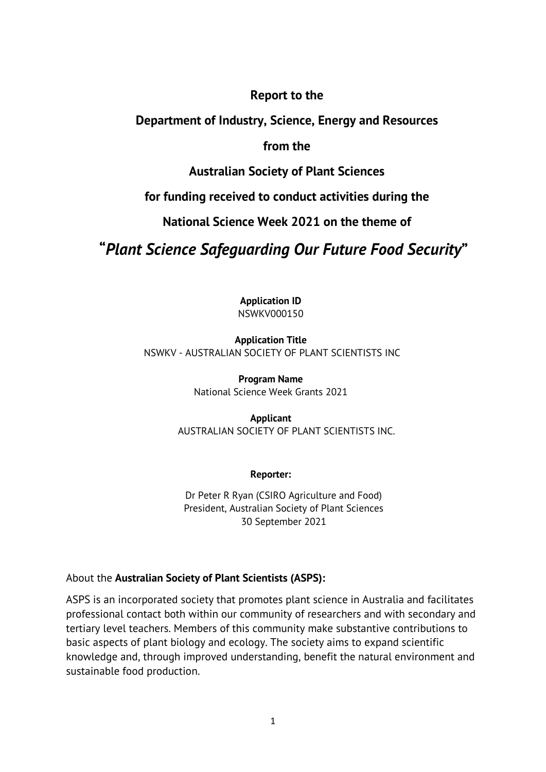### **Report to the**

### **Department of Industry, Science, Energy and Resources**

### **from the**

### **Australian Society of Plant Sciences**

### **for funding received to conduct activities during the**

### **National Science Week 2021 on the theme of**

# **"***Plant Science Safeguarding Our Future Food Security***"**

**Application ID** NSWKV000150

### **Application Title** NSWKV - AUSTRALIAN SOCIETY OF PLANT SCIENTISTS INC

**Program Name** National Science Week Grants 2021

### **Applicant** AUSTRALIAN SOCIETY OF PLANT SCIENTISTS INC.

#### **Reporter:**

Dr Peter R Ryan (CSIRO Agriculture and Food) President, Australian Society of Plant Sciences 30 September 2021

### About the **Australian Society of Plant Scientists (ASPS):**

ASPS is an incorporated society that promotes plant science in Australia and facilitates professional contact both within our community of researchers and with secondary and tertiary level teachers. Members of this community make substantive contributions to basic aspects of plant biology and ecology. The society aims to expand scientific knowledge and, through improved understanding, benefit the natural environment and sustainable food production.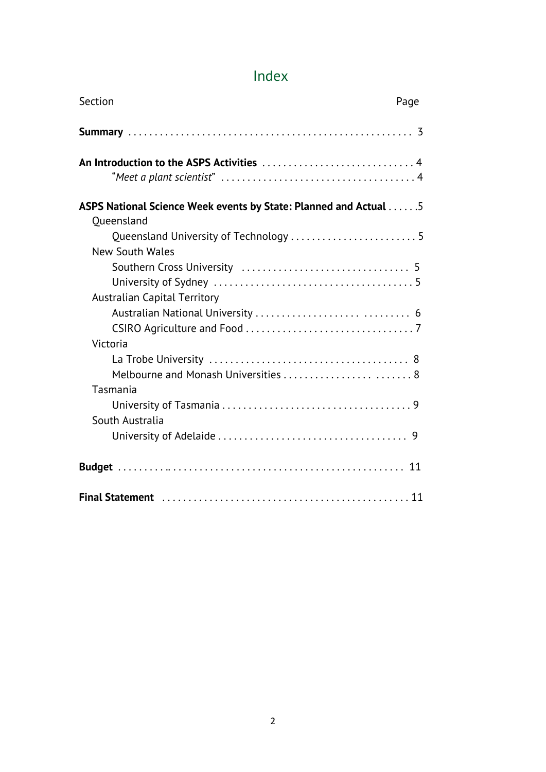# Index

| Section<br>Page                                                  |  |  |  |  |
|------------------------------------------------------------------|--|--|--|--|
|                                                                  |  |  |  |  |
|                                                                  |  |  |  |  |
| ASPS National Science Week events by State: Planned and Actual 5 |  |  |  |  |
| Oueensland                                                       |  |  |  |  |
| Queensland University of Technology  5<br><b>New South Wales</b> |  |  |  |  |
|                                                                  |  |  |  |  |
|                                                                  |  |  |  |  |
| <b>Australian Capital Territory</b>                              |  |  |  |  |
|                                                                  |  |  |  |  |
| Victoria                                                         |  |  |  |  |
|                                                                  |  |  |  |  |
| Melbourne and Monash Universities  8                             |  |  |  |  |
| Tasmania                                                         |  |  |  |  |
|                                                                  |  |  |  |  |
| South Australia                                                  |  |  |  |  |
|                                                                  |  |  |  |  |
|                                                                  |  |  |  |  |
|                                                                  |  |  |  |  |
|                                                                  |  |  |  |  |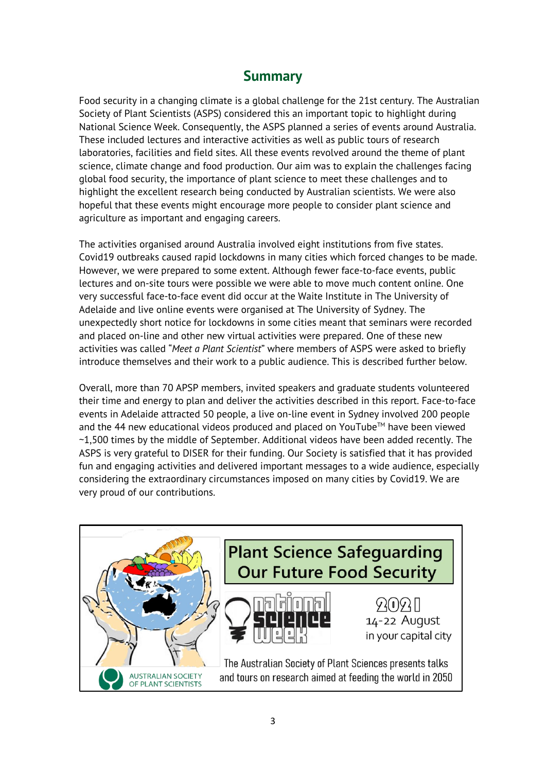## **Summary**

Food security in a changing climate is a global challenge for the 21st century. The Australian Society of Plant Scientists (ASPS) considered this an important topic to highlight during National Science Week. Consequently, the ASPS planned a series of events around Australia. These included lectures and interactive activities as well as public tours of research laboratories, facilities and field sites. All these events revolved around the theme of plant science, climate change and food production. Our aim was to explain the challenges facing global food security, the importance of plant science to meet these challenges and to highlight the excellent research being conducted by Australian scientists. We were also hopeful that these events might encourage more people to consider plant science and agriculture as important and engaging careers.

The activities organised around Australia involved eight institutions from five states. Covid19 outbreaks caused rapid lockdowns in many cities which forced changes to be made. However, we were prepared to some extent. Although fewer face-to-face events, public lectures and on-site tours were possible we were able to move much content online. One very successful face-to-face event did occur at the Waite Institute in The University of Adelaide and live online events were organised at The University of Sydney. The unexpectedly short notice for lockdowns in some cities meant that seminars were recorded and placed on-line and other new virtual activities were prepared. One of these new activities was called "*Meet a Plant Scientist*" where members of ASPS were asked to briefly introduce themselves and their work to a public audience. This is described further below.

Overall, more than 70 APSP members, invited speakers and graduate students volunteered their time and energy to plan and deliver the activities described in this report. Face-to-face events in Adelaide attracted 50 people, a live on-line event in Sydney involved 200 people and the 44 new educational videos produced and placed on YouTube<sup>TM</sup> have been viewed ~1,500 times by the middle of September. Additional videos have been added recently. The ASPS is very grateful to DISER for their funding. Our Society is satisfied that it has provided fun and engaging activities and delivered important messages to a wide audience, especially considering the extraordinary circumstances imposed on many cities by Covid19. We are very proud of our contributions.

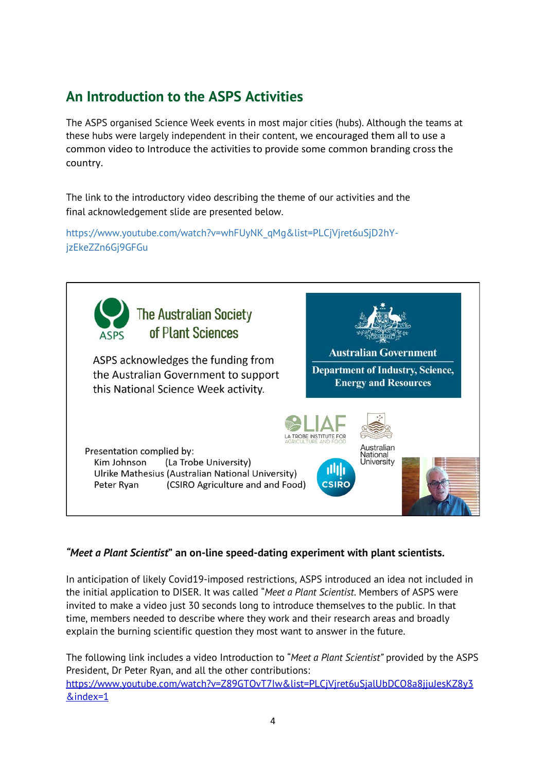# **An Introduction to the ASPS Activities**

The ASPS organised Science Week events in most major cities (hubs). Although the teams at these hubs were largely independent in their content, we encouraged them all to use a common video to Introduce the activities to provide some common branding cross the country.

The link to the introductory video describing the theme of our activities and the final acknowledgement slide are presented below.

https://www.youtube.com/watch?v=whFUyNK\_qMg&list=PLCjVjret6uSjD2hYjzEkeZZn6Gj9GFGu



#### *"Meet a Plant Scientist***" an on-line speed-dating experiment with plant scientists.**

In anticipation of likely Covid19-imposed restrictions, ASPS introduced an idea not included in the initial application to DISER. It was called "*Meet a Plant Scientist*. Members of ASPS were invited to make a video just 30 seconds long to introduce themselves to the public. In that time, members needed to describe where they work and their research areas and broadly explain the burning scientific question they most want to answer in the future.

The following link includes a video Introduction to "*Meet a Plant Scientist"* provided by the ASPS President, Dr Peter Ryan, and all the other contributions: https://www.youtube.com/watch?v=Z89GTOvT7Iw&list=PLCjVjret6uSjalUbDCO8a8jjuJesKZ8y3 &index=1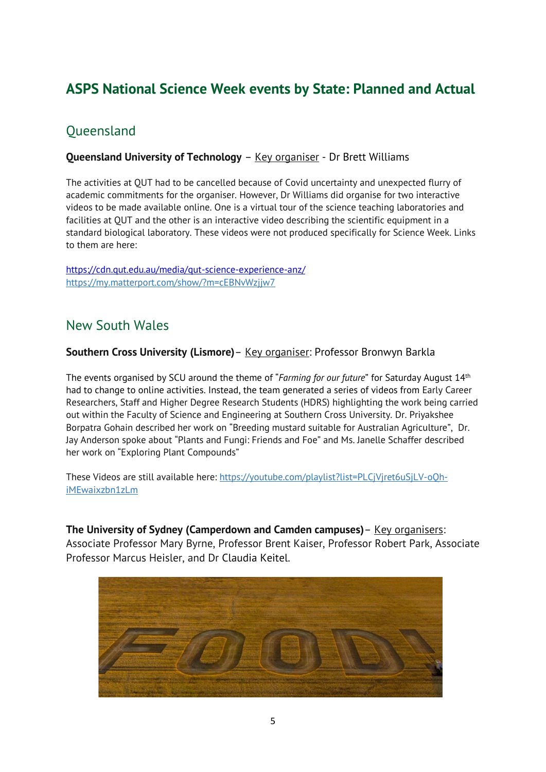# **ASPS National Science Week events by State: Planned and Actual**

# **Oueensland**

#### **Queensland University of Technology** – Key organiser - Dr Brett Williams

The activities at QUT had to be cancelled because of Covid uncertainty and unexpected flurry of academic commitments for the organiser. However, Dr Williams did organise for two interactive videos to be made available online. One is a virtual tour of the science teaching laboratories and facilities at QUT and the other is an interactive video describing the scientific equipment in a standard biological laboratory. These videos were not produced specifically for Science Week. Links to them are here:

https://cdn.qut.edu.au/media/qut-science-experience-anz/ https://my.matterport.com/show/?m=cEBNvWzjjw7

## New South Wales

#### **Southern Cross University (Lismore)**– Key organiser: Professor Bronwyn Barkla

The events organised by SCU around the theme of "*Farming for our future*" for Saturday August 14th had to change to online activities. Instead, the team generated a series of videos from Early Career Researchers, Staff and Higher Degree Research Students (HDRS) highlighting the work being carried out within the Faculty of Science and Engineering at Southern Cross University. Dr. Priyakshee Borpatra Gohain described her work on "Breeding mustard suitable for Australian Agriculture", Dr. Jay Anderson spoke about "Plants and Fungi: Friends and Foe" and Ms. Janelle Schaffer described her work on "Exploring Plant Compounds"

These Videos are still available here: https://youtube.com/playlist?list=PLCjVjret6uSjLV-oQhiMEwaixzbn1zLm

**The University of Sydney (Camperdown and Camden campuses)**– Key organisers: Associate Professor Mary Byrne, Professor Brent Kaiser, Professor Robert Park, Associate Professor Marcus Heisler, and Dr Claudia Keitel.

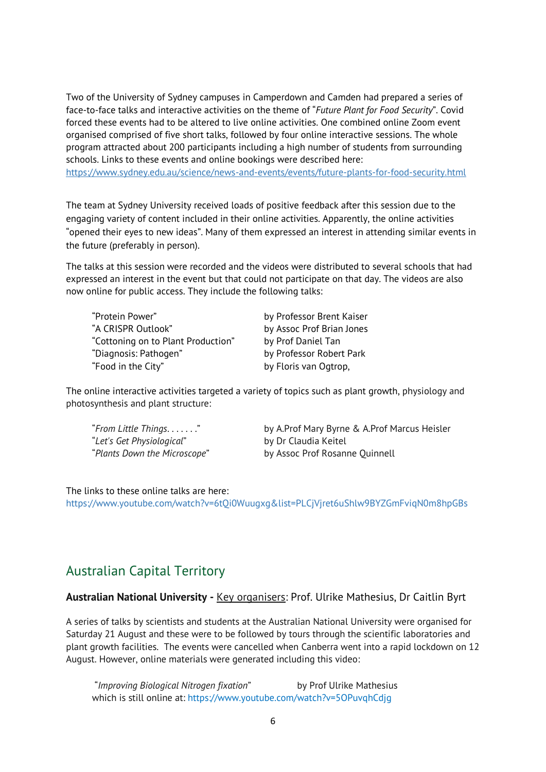Two of the University of Sydney campuses in Camperdown and Camden had prepared a series of face-to-face talks and interactive activities on the theme of "*Future Plant for Food Security*". Covid forced these events had to be altered to live online activities. One combined online Zoom event organised comprised of five short talks, followed by four online interactive sessions. The whole program attracted about 200 participants including a high number of students from surrounding schools. Links to these events and online bookings were described here:

https://www.sydney.edu.au/science/news-and-events/events/future-plants-for-food-security.html

The team at Sydney University received loads of positive feedback after this session due to the engaging variety of content included in their online activities. Apparently, the online activities "opened their eyes to new ideas". Many of them expressed an interest in attending similar events in the future (preferably in person).

The talks at this session were recorded and the videos were distributed to several schools that had expressed an interest in the event but that could not participate on that day. The videos are also now online for public access. They include the following talks:

"Protein Power" by Professor Brent Kaiser "A CRISPR Outlook" by Assoc Prof Brian Jones "Cottoning on to Plant Production" by Prof Daniel Tan "Diagnosis: Pathogen" by Professor Robert Park "Food in the City" by Floris van Ogtrop,

The online interactive activities targeted a variety of topics such as plant growth, physiology and photosynthesis and plant structure:

"*Let's Get Physiological*" by Dr Claudia Keitel

"*From Little Things*. . . . . . ." by A.Prof Mary Byrne & A.Prof Marcus Heisler "*Plants Down the Microscope*" by Assoc Prof Rosanne Quinnell

The links to these online talks are here:

https://www.youtube.com/watch?v=6tQi0Wuugxg&list=PLCjVjret6uShlw9BYZGmFviqN0m8hpGBs

## Australian Capital Territory

#### **Australian National University -** Key organisers: Prof. Ulrike Mathesius, Dr Caitlin Byrt

A series of talks by scientists and students at the Australian National University were organised for Saturday 21 August and these were to be followed by tours through the scientific laboratories and plant growth facilities. The events were cancelled when Canberra went into a rapid lockdown on 12 August. However, online materials were generated including this video:

"*Improving Biological Nitrogen fixation*" by Prof Ulrike Mathesius which is still online at: https://www.youtube.com/watch?v=5OPuvqhCdjg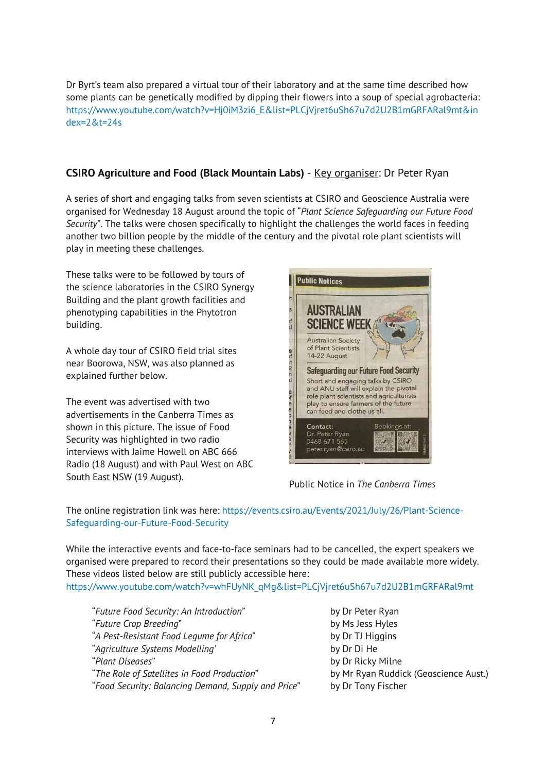Dr Byrt's team also prepared a virtual tour of their laboratory and at the same time described how some plants can be genetically modified by dipping their flowers into a soup of special agrobacteria: https://www.youtube.com/watch?v=Hj0iM3zi6\_E&list=PLCjVjret6uSh67u7d2U2B1mGRFARal9mt&in dex=2&t=24s

#### **CSIRO Agriculture and Food (Black Mountain Labs)** - Key organiser: Dr Peter Ryan

A series of short and engaging talks from seven scientists at CSIRO and Geoscience Australia were organised for Wednesday 18 August around the topic of "*Plant Science Safeguarding our Future Food Security*". The talks were chosen specifically to highlight the challenges the world faces in feeding another two billion people by the middle of the century and the pivotal role plant scientists will play in meeting these challenges.

These talks were to be followed by tours of the science laboratories in the CSIRO Synergy Building and the plant growth facilities and phenotyping capabilities in the Phytotron building.

A whole day tour of CSIRO field trial sites near Boorowa, NSW, was also planned as explained further below.

The event was advertised with two advertisements in the Canberra Times as shown in this picture. The issue of Food Security was highlighted in two radio interviews with Jaime Howell on ABC 666 Radio (18 August) and with Paul West on ABC South East NSW (19 August).



Public Notice in *The Canberra Times*

The online registration link was here: https://events.csiro.au/Events/2021/July/26/Plant-Science-Safeguarding-our-Future-Food-Security

While the interactive events and face-to-face seminars had to be cancelled, the expert speakers we organised were prepared to record their presentations so they could be made available more widely. These videos listed below are still publicly accessible here: https://www.youtube.com/watch?v=whFUyNK\_qMg&list=PLCjVjret6uSh67u7d2U2B1mGRFARal9mt

"*Future Food Security: An Introduction*" by Dr Peter Ryan "*Future Crop Breeding*" by Ms Jess Hyles "*A Pest-Resistant Food Legume for Africa*" by Dr TJ Higgins "*Agriculture Systems Modelling'* by Dr Di He "*Plant Diseases*" by Dr Ricky Milne "*The Role of Satellites in Food Production*" by Mr Ryan Ruddick (Geoscience Aust.) "*Food Security: Balancing Demand, Supply and Price*" by Dr Tony Fischer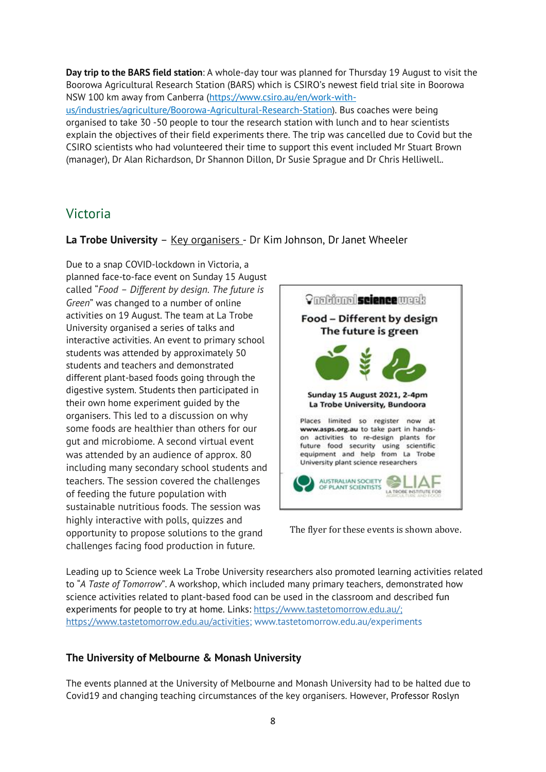**Day trip to the BARS field station**: A whole-day tour was planned for Thursday 19 August to visit the Boorowa Agricultural Research Station (BARS) which is CSIRO's newest field trial site in Boorowa NSW 100 km away from Canberra (https://www.csiro.au/en/work-withus/industries/agriculture/Boorowa-Agricultural-Research-Station). Bus coaches were being organised to take 30 -50 people to tour the research station with lunch and to hear scientists explain the objectives of their field experiments there. The trip was cancelled due to Covid but the CSIRO scientists who had volunteered their time to support this event included Mr Stuart Brown (manager), Dr Alan Richardson, Dr Shannon Dillon, Dr Susie Sprague and Dr Chris Helliwell..

### Victoria

**La Trobe University** – Key organisers - Dr Kim Johnson, Dr Janet Wheeler

Due to a snap COVID-lockdown in Victoria, a planned face-to-face event on Sunday 15 August called "*Food – Different by design. The future is Green*" was changed to a number of online activities on 19 August. The team at La Trobe University organised a series of talks and interactive activities. An event to primary school students was attended by approximately 50 students and teachers and demonstrated different plant-based foods going through the digestive system. Students then participated in their own home experiment guided by the organisers. This led to a discussion on why some foods are healthier than others for our gut and microbiome. A second virtual event was attended by an audience of approx. 80 including many secondary school students and teachers. The session covered the challenges of feeding the future population with sustainable nutritious foods. The session was highly interactive with polls, quizzes and opportunity to propose solutions to the grand challenges facing food production in future.



The flyer for these events is shown above.

Leading up to Science week La Trobe University researchers also promoted learning activities related to "*A Taste of Tomorrow*". A workshop, which included many primary teachers, demonstrated how science activities related to plant-based food can be used in the classroom and described fun experiments for people to try at home. Links: https://www.tastetomorrow.edu.au/; https://www.tastetomorrow.edu.au/activities; www.tastetomorrow.edu.au/experiments

### **The University of Melbourne & Monash University**

The events planned at the University of Melbourne and Monash University had to be halted due to Covid19 and changing teaching circumstances of the key organisers. However, Professor Roslyn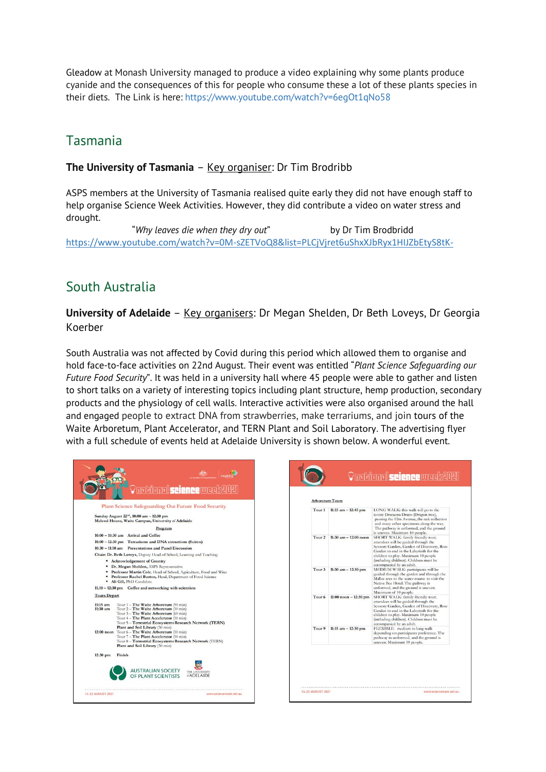Gleadow at Monash University managed to produce a video explaining why some plants produce cyanide and the consequences of this for people who consume these a lot of these plants species in their diets. The Link is here: https://www.youtube.com/watch?v=6egOt1qNo58

## Tasmania

#### **The University of Tasmania** – Key organiser: Dr Tim Brodribb

ASPS members at the University of Tasmania realised quite early they did not have enough staff to help organise Science Week Activities. However, they did contribute a video on water stress and drought.

"*Why leaves die when they dry out*" by Dr Tim Brodbridd https://www.youtube.com/watch?v=0M-sZETVoQ8&list=PLCjVjret6uShxXJbRyx1HIJZbEtyS8tK-

## South Australia

**University of Adelaide** – Key organisers: Dr Megan Shelden, Dr Beth Loveys, Dr Georgia Koerber

South Australia was not affected by Covid during this period which allowed them to organise and hold face-to-face activities on 22nd August. Their event was entitled "*Plant Science Safeguarding our Future Food Security*". It was held in a university hall where 45 people were able to gather and listen to short talks on a variety of interesting topics including plant structure, hemp production, secondary products and the physiology of cell walls. Interactive activities were also organised around the hall and engaged people to extract DNA from strawberries, make terrariums, and join tours of the Waite Arboretum, Plant Accelerator, and TERN Plant and Soil Laboratory. The advertising flyer with a full schedule of events held at Adelaide University is shown below. A wonderful event.

可相加

| <b>Plant Science Safeguarding Our Future Food Security</b>                                                                                                                                                                                                             |                                                                                                                                                                                                                                                                  | <b>Arboretum Tours</b> |                          |                                                                                                                                                                                                                                                                              |
|------------------------------------------------------------------------------------------------------------------------------------------------------------------------------------------------------------------------------------------------------------------------|------------------------------------------------------------------------------------------------------------------------------------------------------------------------------------------------------------------------------------------------------------------|------------------------|--------------------------|------------------------------------------------------------------------------------------------------------------------------------------------------------------------------------------------------------------------------------------------------------------------------|
|                                                                                                                                                                                                                                                                        | Sunday August 22 <sup>nd</sup> , 10:00 am - 12:30 pm<br>Mcleod House, Waite Campus, University of Adelaide<br>Program                                                                                                                                            | Tour <sub>1</sub>      | $11:15$ am $-12:45$ pm   | LONG WALK: this walk will go to the<br>iconic Dracaena Draco (Dragon tree),<br>passing the Elm Avenue, the oak collection<br>and many other specimens along the way.<br>The pathway is unformed, and the ground<br>is uneven. Maximum 10 people.                             |
|                                                                                                                                                                                                                                                                        | $10:00 - 10:30$ am Arrival and Coffee<br>10:00 - 12:30 pm Terrariums and DNA extractions (Sciren)<br>10:30 - 11:10 am Presentations and Panel Discussion<br>Chair: Dr. Beth Loveys, Deputy Head of School, Learning and Teaching<br>• Acknowledgement of Country | Tour <sub>2</sub>      | $11:30$ am $-12:00$ noon | SHORT WALK: family friendly tour;<br>attendees will be guided through the<br>Sensory Garden, Garden of Discovery, Ros<br>Garden to end in the Labyrinth for the<br>children to play. Maximum 10 people<br>(including children). Children must be<br>accompanied by an adult. |
| • Dr. Megan Shelden, ASPS Representative<br>Professor Martin Cole, Head of School, Agriculture, Food and Wine<br>Professor Rachel Burton, Head, Department of Food Science<br>٠<br>· Ali Gill, PhD Candidate<br>11.10 - 12:30 pm Coffee and networking with scientists |                                                                                                                                                                                                                                                                  | Tour <sub>3</sub>      | 11:30 am $-12:30$ pm     | MEDIUM WALK: participants will be<br>guided through the garden and through the<br>Mallee area to the water course to visit the<br>Native Bee Hotel. The pathway is<br>unformed, and the ground is uneven.<br>Maximum of 10 people.                                           |
| <b>Tours Depart</b><br>$11:15$ am<br>$11:30$ am                                                                                                                                                                                                                        | Tour 1 - The Waite Arboretum (90 min)<br>Tour 2 - The Waite Arboretum (30 min)<br>Tour 3 - The Waite Arboretum (60 min)<br>Tour 4 - The Plant Accelerator (30 min)<br>Tour 5 - Terrestrial Ecosystems Research Network (TERN)                                    | Tour <sub>6</sub>      | $12:00$ noon $-12:30$ pm | SHORT WALK: family friendly tour;<br>attendees will be guided through the<br>Sensory Garden, Garden of Discovery, Ros<br>Garden to end in the Labyrinth for the<br>children to play. Maximum 10 people<br>(including children). Children must be<br>accompanied by an adult. |
|                                                                                                                                                                                                                                                                        | Plant and Soil Library (30 min)<br>12:00 noon Tour 6 - The Waite Arboretum (30 min)<br>Tour 7 - The Plant Accelerator (30 min)<br>Tour 8 - Terrestrial Ecosystems Research Network (TERN)<br>Plant and Soil Library (30 min)                                     | Tour <sub>9</sub>      | 11:15 am $-12:30$ pm     | FLEXIBLE: medium to long walk<br>depending on participants preference. The<br>pathway in unformed, and the ground is<br>uneven. Maximum 10 people.                                                                                                                           |
| $12:30$ pm                                                                                                                                                                                                                                                             | Finish<br><b>AUSTRALIAN SOCIETY</b><br>THE UNIVERSITY<br>OF PLANT SCIENTISTS<br><b>ADELAIDE</b>                                                                                                                                                                  |                        |                          |                                                                                                                                                                                                                                                                              |
|                                                                                                                                                                                                                                                                        |                                                                                                                                                                                                                                                                  | 14-22 AUGUST 2021      |                          | www.sciencewi                                                                                                                                                                                                                                                                |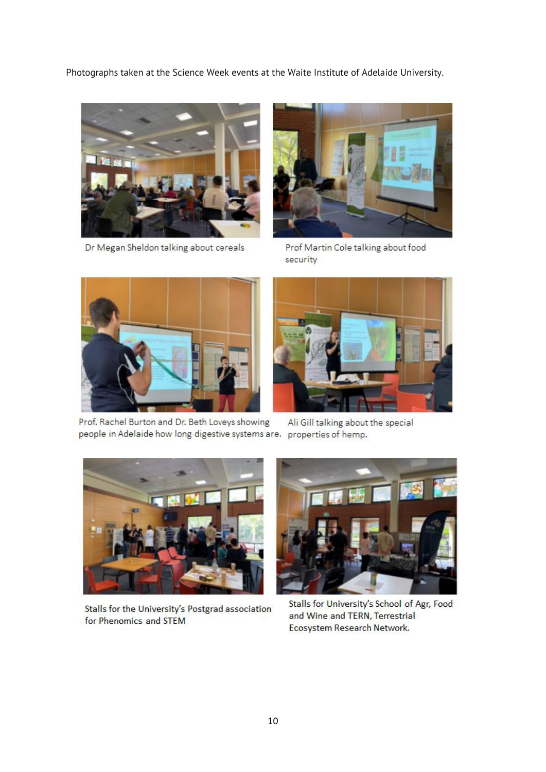Photographs taken at the Science Week events at the Waite Institute of Adelaide University.



Dr Megan Sheldon talking about cereals



Prof Martin Cole talking about food security





Prof. Rachel Burton and Dr. Beth Loveys showing people in Adelaide how long digestive systems are. properties of hemp.

Ali Gill talking about the special



Stalls for the University's Postgrad association for Phenomics and STEM



Stalls for University's School of Agr, Food and Wine and TERN, Terrestrial Ecosystem Research Network.